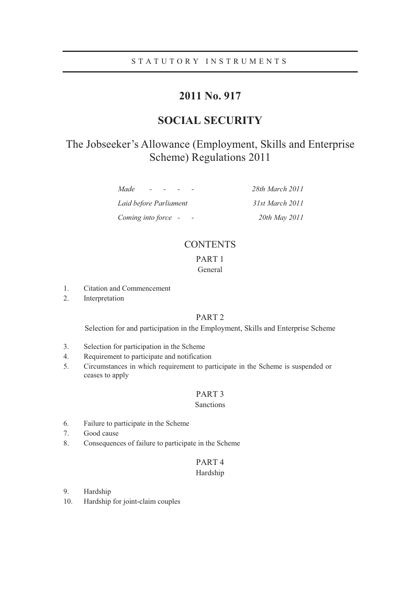# STATUTORY INSTRUMENTS

# **2011 No. 917**

# **SOCIAL SECURITY**

# The Jobseeker's Allowance (Employment, Skills and Enterprise Scheme) Regulations 2011

| Made<br>$\sim$         | 28th March 2011 |
|------------------------|-----------------|
| Laid before Parliament | 31st March 2011 |
| Coming into force -    | 20th May 2011   |

# **CONTENTS**

# PART 1 General

- 1. Citation and Commencement
- 2. Interpretation

# PART 2

Selection for and participation in the Employment, Skills and Enterprise Scheme

- 3. Selection for participation in the Scheme
- 4. Requirement to participate and notification
- 5. Circumstances in which requirement to participate in the Scheme is suspended or ceases to apply

## PART 3

# Sanctions

- 6. Failure to participate in the Scheme
- 7. Good cause
- 8. Consequences of failure to participate in the Scheme

# PART 4 Hardship

- 9. Hardship
- 10. Hardship for joint-claim couples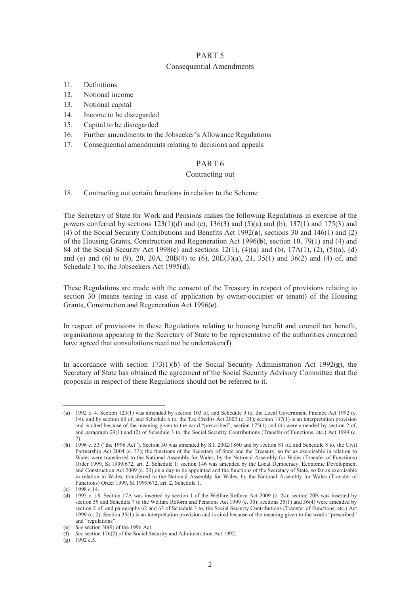### PART 5

#### Consequential Amendments

- 11. Definitions
- 12. Notional income
- 13. Notional capital
- 14. Income to be disregarded
- 15. Capital to be disregarded
- 16. Further amendments to the Jobseeker's Allowance Regulations
- 17. Consequential amendments relating to decisions and appeals

# PART 6

## Contracting out

18. Contracting out certain functions in relation to the Scheme

The Secretary of State for Work and Pensions makes the following Regulations in exercise of the powers conferred by sections  $123(1)(d)$  and  $(e)$ ,  $136(3)$  and  $(5)(a)$  and  $(b)$ ,  $137(1)$  and  $175(3)$  and (4) of the Social Security Contributions and Benefits Act 1992(**a**), sections 30 and 146(1) and (2) of the Housing Grants, Construction and Regeneration Act 1996(**b**), section 10, 79(1) and (4) and 84 of the Social Security Act 1998(**c**) and sections 12(1), (4)(a) and (b), 17A(1), (2), (5)(a), (d) and (e) and (6) to (9), 20, 20A, 20B(4) to (6), 20E(3)(a), 21, 35(1) and 36(2) and (4) of, and Schedule 1 to, the Jobseekers Act 1995(**d**).

These Regulations are made with the consent of the Treasury in respect of provisions relating to section 30 (means testing in case of application by owner-occupier or tenant) of the Housing Grants, Construction and Regeneration Act 1996(**e**).

In respect of provisions in these Regulations relating to housing benefit and council tax benefit, organisations appearing to the Secretary of State to be representative of the authorities concerned have agreed that consultations need not be undertaken(**f**).

In accordance with section 173(1)(b) of the Social Security Administration Act 1992(**g**), the Secretary of State has obtained the agreement of the Social Security Advisory Committee that the proposals in respect of these Regulations should not be referred to it.

 $\overline{a}$ 

<sup>(</sup>**a**) 1992 c. 4. Section 123(1) was amended by section 103 of, and Schedule 9 to, the Local Government Finance Act 1992 (c. 14), and by section 60 of, and Schedule 6 to, the Tax Credits Act 2002 (c. 21); section 137(1) is an interpretation provision and is cited because of the meaning given to the word "prescribed"; section 175(1) and (4) were amended by section 2 of, and paragraph 29(1) and (2) of Schedule 3 to, the Social Security Contributions (Transfer of Functions, etc.) Act 1999 (c. 2).

<sup>(</sup>**b**) 1996 c. 53 ("the 1996 Act"). Section 30 was amended by S.I. 2002/1860 and by section 81 of, and Schedule 8 to, the Civil Partnership Act 2004 (c. 33); the functions of the Secretary of State and the Treasury, so far as exercisable in relation to Wales were transferred to the National Assembly for Wales, by the National Assembly for Wales (Transfer of Functions) Order 1999, SI 1999/672, art. 2, Schedule 1; section 146 was amended by the Local Democracy, Economic Development and Construction Act 2009 (c. 20) on a day to be appointed and the functions of the Secretary of State, so far as exercisable in relation to Wales, transferred to the National Assembly for Wales, by the National Assembly for Wales (Transfer of Functions) Order 1999, SI 1999/672, art. 2, Schedule 1.

<sup>(</sup>**c**) 1998 c.14.

<sup>(</sup>**d**) 1995 c. 18. Section 17A was inserted by section 1 of the Welfare Reform Act 2009 (c. 24); section 20B was inserted by section 59 and Schedule 7 to the Welfare Reform and Pensions Act 1999 (c. 30); sections 35(1) and 36(4) were amended by section 2 of, and paragraphs 62 and 63 of Schedule 3 to, the Social Security Contributions (Transfer of Functions, etc.) Act 1999 (c. 2). Section 35(1) is an interpretation provision and is cited because of the meaning given to the words "prescribed" and "regulations".

<sup>(</sup>**e**) *See* section 30(9) of the 1996 Act.

<sup>(</sup>**f**) *See* section 176(2) of the Social Security and Administration Act 1992.

<sup>(</sup>**g**) 1992 c.5.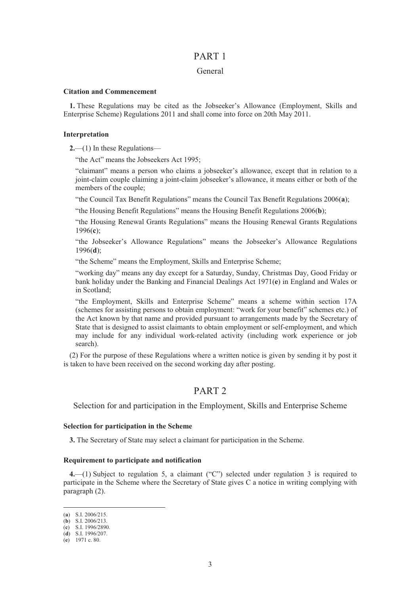# PART 1

#### General

#### **Citation and Commencement**

**1.** These Regulations may be cited as the Jobseeker's Allowance (Employment, Skills and Enterprise Scheme) Regulations 2011 and shall come into force on 20th May 2011.

#### **Interpretation**

**2.**—(1) In these Regulations—

"the Act" means the Jobseekers Act 1995;

"claimant" means a person who claims a jobseeker's allowance, except that in relation to a joint-claim couple claiming a joint-claim jobseeker's allowance, it means either or both of the members of the couple;

"the Council Tax Benefit Regulations" means the Council Tax Benefit Regulations 2006(**a**);

"the Housing Benefit Regulations" means the Housing Benefit Regulations 2006(**b**);

"the Housing Renewal Grants Regulations" means the Housing Renewal Grants Regulations 1996(**c**);

"the Jobseeker's Allowance Regulations" means the Jobseeker's Allowance Regulations 1996(**d**);

"the Scheme" means the Employment, Skills and Enterprise Scheme;

"working day" means any day except for a Saturday, Sunday, Christmas Day, Good Friday or bank holiday under the Banking and Financial Dealings Act 1971(**e**) in England and Wales or in Scotland;

"the Employment, Skills and Enterprise Scheme" means a scheme within section 17A (schemes for assisting persons to obtain employment: "work for your benefit" schemes etc.) of the Act known by that name and provided pursuant to arrangements made by the Secretary of State that is designed to assist claimants to obtain employment or self-employment, and which may include for any individual work-related activity (including work experience or job search).

(2) For the purpose of these Regulations where a written notice is given by sending it by post it is taken to have been received on the second working day after posting.

# PART 2

Selection for and participation in the Employment, Skills and Enterprise Scheme

#### **Selection for participation in the Scheme**

**3.** The Secretary of State may select a claimant for participation in the Scheme.

## **Requirement to participate and notification**

**4.**—(1) Subject to regulation 5, a claimant ("C") selected under regulation 3 is required to participate in the Scheme where the Secretary of State gives C a notice in writing complying with paragraph (2).

 $\overline{a}$ 

<sup>(</sup>**a**) S.I. 2006/215.

<sup>(</sup>**b**) S.I. 2006/213.

<sup>(</sup>**c**) S.I. 1996/2890.

<sup>(</sup>**d**) S.I. 1996/207.

<sup>(</sup>**e**) 1971 c. 80.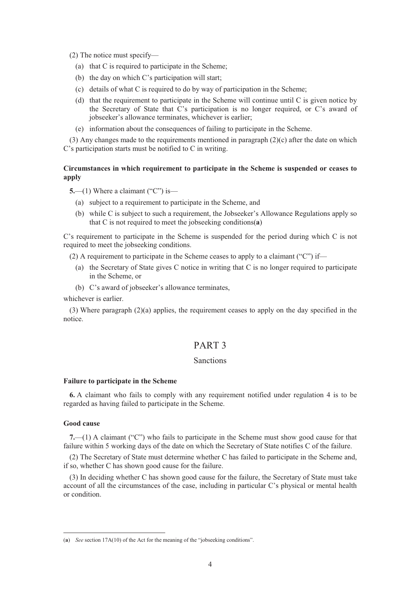(2) The notice must specify—

- (a) that C is required to participate in the Scheme;
- (b) the day on which C's participation will start;
- (c) details of what C is required to do by way of participation in the Scheme;
- (d) that the requirement to participate in the Scheme will continue until C is given notice by the Secretary of State that C's participation is no longer required, or C's award of jobseeker's allowance terminates, whichever is earlier;
- (e) information about the consequences of failing to participate in the Scheme.

(3) Any changes made to the requirements mentioned in paragraph (2)(c) after the date on which C's participation starts must be notified to C in writing.

### **Circumstances in which requirement to participate in the Scheme is suspended or ceases to apply**

**5.**—(1) Where a claimant ("C") is—

- (a) subject to a requirement to participate in the Scheme, and
- (b) while C is subject to such a requirement, the Jobseeker's Allowance Regulations apply so that C is not required to meet the jobseeking conditions(**a**)

C's requirement to participate in the Scheme is suspended for the period during which C is not required to meet the jobseeking conditions.

- (2) A requirement to participate in the Scheme ceases to apply to a claimant ("C") if—
	- (a) the Secretary of State gives C notice in writing that C is no longer required to participate in the Scheme, or
	- (b) C's award of jobseeker's allowance terminates,

whichever is earlier.

(3) Where paragraph (2)(a) applies, the requirement ceases to apply on the day specified in the notice.

# PART 3

#### Sanctions

#### **Failure to participate in the Scheme**

**6.** A claimant who fails to comply with any requirement notified under regulation 4 is to be regarded as having failed to participate in the Scheme.

#### **Good cause**

 $\overline{a}$ 

**7.**—(1) A claimant ("C") who fails to participate in the Scheme must show good cause for that failure within 5 working days of the date on which the Secretary of State notifies C of the failure.

(2) The Secretary of State must determine whether C has failed to participate in the Scheme and, if so, whether C has shown good cause for the failure.

(3) In deciding whether C has shown good cause for the failure, the Secretary of State must take account of all the circumstances of the case, including in particular C's physical or mental health or condition.

<sup>(</sup>**a**) *See* section 17A(10) of the Act for the meaning of the "jobseeking conditions".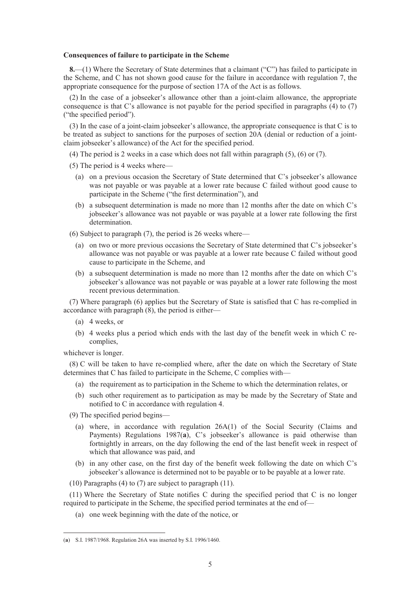#### **Consequences of failure to participate in the Scheme**

**8.**—(1) Where the Secretary of State determines that a claimant ("C") has failed to participate in the Scheme, and C has not shown good cause for the failure in accordance with regulation 7, the appropriate consequence for the purpose of section 17A of the Act is as follows.

(2) In the case of a jobseeker's allowance other than a joint-claim allowance, the appropriate consequence is that C's allowance is not payable for the period specified in paragraphs (4) to (7) ("the specified period").

(3) In the case of a joint-claim jobseeker's allowance, the appropriate consequence is that C is to be treated as subject to sanctions for the purposes of section 20A (denial or reduction of a jointclaim jobseeker's allowance) of the Act for the specified period.

- (4) The period is 2 weeks in a case which does not fall within paragraph (5), (6) or (7).
- (5) The period is 4 weeks where—
	- (a) on a previous occasion the Secretary of State determined that C's jobseeker's allowance was not payable or was payable at a lower rate because C failed without good cause to participate in the Scheme ("the first determination"), and
	- (b) a subsequent determination is made no more than 12 months after the date on which C's jobseeker's allowance was not payable or was payable at a lower rate following the first determination.

(6) Subject to paragraph (7), the period is 26 weeks where—

- (a) on two or more previous occasions the Secretary of State determined that C's jobseeker's allowance was not payable or was payable at a lower rate because C failed without good cause to participate in the Scheme, and
- (b) a subsequent determination is made no more than 12 months after the date on which C's jobseeker's allowance was not payable or was payable at a lower rate following the most recent previous determination.

(7) Where paragraph (6) applies but the Secretary of State is satisfied that C has re-complied in accordance with paragraph (8), the period is either—

- (a) 4 weeks, or
- (b) 4 weeks plus a period which ends with the last day of the benefit week in which C recomplies,

whichever is longer.

 $\overline{a}$ 

(8) C will be taken to have re-complied where, after the date on which the Secretary of State determines that C has failed to participate in the Scheme, C complies with—

- (a) the requirement as to participation in the Scheme to which the determination relates, or
- (b) such other requirement as to participation as may be made by the Secretary of State and notified to C in accordance with regulation 4.

(9) The specified period begins—

- (a) where, in accordance with regulation 26A(1) of the Social Security (Claims and Payments) Regulations 1987(**a**), C's jobseeker's allowance is paid otherwise than fortnightly in arrears, on the day following the end of the last benefit week in respect of which that allowance was paid, and
- (b) in any other case, on the first day of the benefit week following the date on which C's jobseeker's allowance is determined not to be payable or to be payable at a lower rate.
- (10) Paragraphs (4) to (7) are subject to paragraph (11).

(11) Where the Secretary of State notifies C during the specified period that C is no longer required to participate in the Scheme, the specified period terminates at the end of—

(a) one week beginning with the date of the notice, or

<sup>(</sup>**a**) S.I. 1987/1968. Regulation 26A was inserted by S.I. 1996/1460.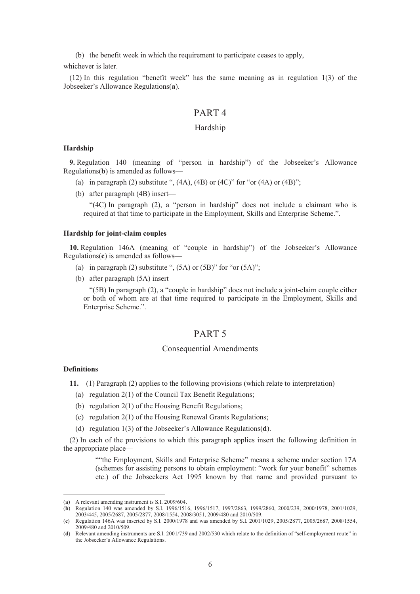(b) the benefit week in which the requirement to participate ceases to apply,

whichever is later.

(12) In this regulation "benefit week" has the same meaning as in regulation 1(3) of the Jobseeker's Allowance Regulations(**a**).

# PART 4

#### Hardship

#### **Hardship**

**9.** Regulation 140 (meaning of "person in hardship") of the Jobseeker's Allowance Regulations(**b**) is amended as follows—

- (a) in paragraph (2) substitute ",  $(4A)$ ,  $(4B)$  or  $(4C)$ " for "or  $(4A)$  or  $(4B)$ ";
- (b) after paragraph (4B) insert—

"(4C) In paragraph (2), a "person in hardship" does not include a claimant who is required at that time to participate in the Employment, Skills and Enterprise Scheme.".

#### **Hardship for joint-claim couples**

**10.** Regulation 146A (meaning of "couple in hardship") of the Jobseeker's Allowance Regulations(**c**) is amended as follows—

- (a) in paragraph (2) substitute ",  $(5A)$  or  $(5B)$ " for "or  $(5A)$ ";
- (b) after paragraph (5A) insert—

"(5B) In paragraph (2), a "couple in hardship" does not include a joint-claim couple either or both of whom are at that time required to participate in the Employment, Skills and Enterprise Scheme.".

# PART 5

#### Consequential Amendments

## **Definitions**

 $\overline{a}$ 

**11.**—(1) Paragraph (2) applies to the following provisions (which relate to interpretation)—

- (a) regulation 2(1) of the Council Tax Benefit Regulations;
- (b) regulation 2(1) of the Housing Benefit Regulations;
- (c) regulation 2(1) of the Housing Renewal Grants Regulations;
- (d) regulation 1(3) of the Jobseeker's Allowance Regulations(**d**).

(2) In each of the provisions to which this paragraph applies insert the following definition in the appropriate place—

> ""the Employment, Skills and Enterprise Scheme" means a scheme under section 17A (schemes for assisting persons to obtain employment: "work for your benefit" schemes etc.) of the Jobseekers Act 1995 known by that name and provided pursuant to

<sup>(</sup>**a**) A relevant amending instrument is S.I. 2009/604.

<sup>(</sup>**b**) Regulation 140 was amended by S.I. 1996/1516, 1996/1517, 1997/2863, 1999/2860, 2000/239, 2000/1978, 2001/1029, 2003/445, 2005/2687, 2005/2877, 2008/1554, 2008/3051, 2009/480 and 2010/509.

<sup>(</sup>**c**) Regulation 146A was inserted by S.I. 2000/1978 and was amended by S.I. 2001/1029, 2005/2877, 2005/2687, 2008/1554, 2009/480 and 2010/509.

<sup>(</sup>**d**) Relevant amending instruments are S.I. 2001/739 and 2002/530 which relate to the definition of "self-employment route" in the Jobseeker's Allowance Regulations.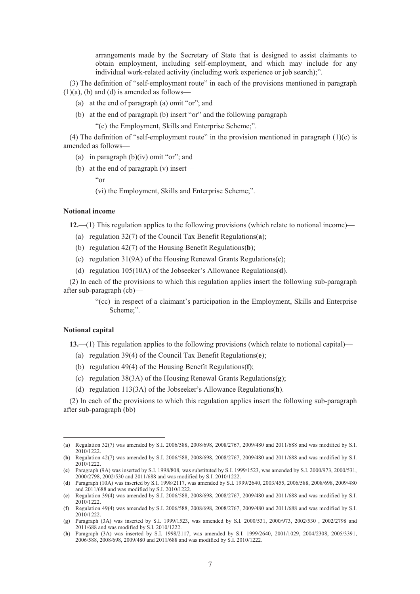arrangements made by the Secretary of State that is designed to assist claimants to obtain employment, including self-employment, and which may include for any individual work-related activity (including work experience or job search);".

(3) The definition of "self-employment route" in each of the provisions mentioned in paragraph  $(1)(a)$ ,  $(b)$  and  $(d)$  is amended as follows—

- (a) at the end of paragraph (a) omit "or"; and
- (b) at the end of paragraph (b) insert "or" and the following paragraph—

"(c) the Employment, Skills and Enterprise Scheme;".

(4) The definition of "self-employment route" in the provision mentioned in paragraph  $(1)(c)$  is amended as follows—

- (a) in paragraph  $(b)(iv)$  omit "or"; and
- (b) at the end of paragraph (v) insert—

"or

(vi) the Employment, Skills and Enterprise Scheme;".

#### **Notional income**

**12.**—(1) This regulation applies to the following provisions (which relate to notional income)—

- (a) regulation 32(7) of the Council Tax Benefit Regulations(**a**);
- (b) regulation 42(7) of the Housing Benefit Regulations(**b**);
- (c) regulation 31(9A) of the Housing Renewal Grants Regulations(**c**);
- (d) regulation 105(10A) of the Jobseeker's Allowance Regulations(**d**).

(2) In each of the provisions to which this regulation applies insert the following sub-paragraph after sub-paragraph (cb)—

> "(cc) in respect of a claimant's participation in the Employment, Skills and Enterprise Scheme;".

#### **Notional capital**

 $\overline{a}$ 

**13.**—(1) This regulation applies to the following provisions (which relate to notional capital)—

- (a) regulation 39(4) of the Council Tax Benefit Regulations(**e**);
- (b) regulation 49(4) of the Housing Benefit Regulations(**f**);
- (c) regulation 38(3A) of the Housing Renewal Grants Regulations(**g**);
- (d) regulation 113(3A) of the Jobseeker's Allowance Regulations(**h**).

(2) In each of the provisions to which this regulation applies insert the following sub-paragraph after sub-paragraph (bb)—

<sup>(</sup>**a**) Regulation 32(7) was amended by S.I. 2006/588, 2008/698, 2008/2767, 2009/480 and 2011/688 and was modified by S.I. 2010/1222.

<sup>(</sup>**b**) Regulation 42(7) was amended by S.I. 2006/588, 2008/698, 2008/2767, 2009/480 and 2011/688 and was modified by S.I. 2010/1222.

<sup>(</sup>**c**) Paragraph (9A) was inserted by S.I. 1998/808, was substituted by S.I. 1999/1523, was amended by S.I. 2000/973, 2000/531, 2000/2798, 2002/530 and 2011/688 and was modified by S.I. 2010/1222.

<sup>(</sup>**d**) Paragraph (10A) was inserted by S.I. 1998/2117, was amended by S.I. 1999/2640, 2003/455, 2006/588, 2008/698, 2009/480 and 2011/688 and was modified by S.I. 2010/1222.

<sup>(</sup>**e**) Regulation 39(4) was amended by S.I. 2006/588, 2008/698, 2008/2767, 2009/480 and 2011/688 and was modified by S.I. 2010/1222.

<sup>(</sup>**f**) Regulation 49(4) was amended by S.I. 2006/588, 2008/698, 2008/2767, 2009/480 and 2011/688 and was modified by S.I. 2010/1222.

<sup>(</sup>**g**) Paragraph (3A) was inserted by S.I. 1999/1523, was amended by S.I. 2000/531, 2000/973, 2002/530 , 2002/2798 and 2011/688 and was modified by S.I. 2010/1222.

<sup>(</sup>**h**) Paragraph (3A) was inserted by S.I. 1998/2117, was amended by S.I. 1999/2640, 2001/1029, 2004/2308, 2005/3391, 2006/588, 2008/698, 2009/480 and 2011/688 and was modified by S.I. 2010/1222.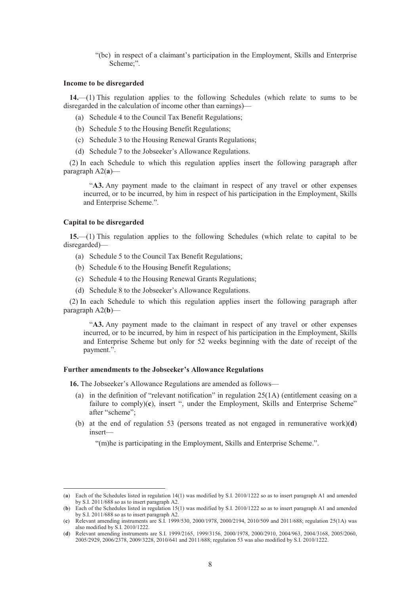"(bc) in respect of a claimant's participation in the Employment, Skills and Enterprise Scheme;".

#### **Income to be disregarded**

**14.**—(1) This regulation applies to the following Schedules (which relate to sums to be disregarded in the calculation of income other than earnings)—

- (a) Schedule 4 to the Council Tax Benefit Regulations;
- (b) Schedule 5 to the Housing Benefit Regulations;
- (c) Schedule 3 to the Housing Renewal Grants Regulations;
- (d) Schedule 7 to the Jobseeker's Allowance Regulations.

(2) In each Schedule to which this regulation applies insert the following paragraph after paragraph A2(**a**)—

"**A3.** Any payment made to the claimant in respect of any travel or other expenses incurred, or to be incurred, by him in respect of his participation in the Employment, Skills and Enterprise Scheme.".

#### **Capital to be disregarded**

 $\overline{a}$ 

**15.**—(1) This regulation applies to the following Schedules (which relate to capital to be disregarded)—

- (a) Schedule 5 to the Council Tax Benefit Regulations;
- (b) Schedule 6 to the Housing Benefit Regulations;
- (c) Schedule 4 to the Housing Renewal Grants Regulations;
- (d) Schedule 8 to the Jobseeker's Allowance Regulations.

(2) In each Schedule to which this regulation applies insert the following paragraph after paragraph A2(**b**)—

"**A3.** Any payment made to the claimant in respect of any travel or other expenses incurred, or to be incurred, by him in respect of his participation in the Employment, Skills and Enterprise Scheme but only for 52 weeks beginning with the date of receipt of the payment.".

#### **Further amendments to the Jobseeker's Allowance Regulations**

**16.** The Jobseeker's Allowance Regulations are amended as follows—

- (a) in the definition of "relevant notification" in regulation 25(1A) (entitlement ceasing on a failure to comply)(c), insert ", under the Employment, Skills and Enterprise Scheme" after "scheme";
- (b) at the end of regulation 53 (persons treated as not engaged in remunerative work)(**d**) insert—

"(m)he is participating in the Employment, Skills and Enterprise Scheme.".

<sup>(</sup>**a**) Each of the Schedules listed in regulation 14(1) was modified by S.I. 2010/1222 so as to insert paragraph A1 and amended by S.I. 2011/688 so as to insert paragraph A2.

<sup>(</sup>**b**) Each of the Schedules listed in regulation 15(1) was modified by S.I. 2010/1222 so as to insert paragraph A1 and amended by S.I. 2011/688 so as to insert paragraph A2.

<sup>(</sup>**c**) Relevant amending instruments are S.I. 1999/530, 2000/1978, 2000/2194, 2010/509 and 2011/688; regulation 25(1A) was also modified by S.I. 2010/1222.

<sup>(</sup>**d**) Relevant amending instruments are S.I. 1999/2165, 1999/3156, 2000/1978, 2000/2910, 2004/963, 2004/3168, 2005/2060, 2005/2929, 2006/2378, 2009/3228, 2010/641 and 2011/688; regulation 53 was also modified by S.I. 2010/1222.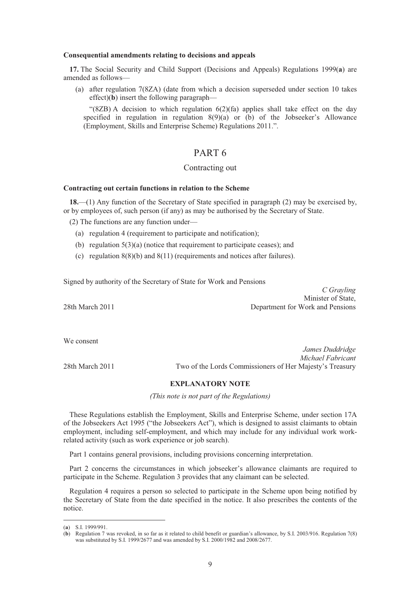#### **Consequential amendments relating to decisions and appeals**

**17.** The Social Security and Child Support (Decisions and Appeals) Regulations 1999(**a**) are amended as follows—

(a) after regulation 7(8ZA) (date from which a decision superseded under section 10 takes effect)(**b**) insert the following paragraph—

"(8ZB) A decision to which regulation 6(2)(fa) applies shall take effect on the day specified in regulation in regulation 8(9)(a) or (b) of the Jobseeker's Allowance (Employment, Skills and Enterprise Scheme) Regulations 2011.".

# PART 6

# Contracting out

#### **Contracting out certain functions in relation to the Scheme**

**18.**—(1) Any function of the Secretary of State specified in paragraph (2) may be exercised by, or by employees of, such person (if any) as may be authorised by the Secretary of State.

(2) The functions are any function under—

- (a) regulation 4 (requirement to participate and notification);
- (b) regulation 5(3)(a) (notice that requirement to participate ceases); and
- (c) regulation  $8(8)(b)$  and  $8(11)$  (requirements and notices after failures).

Signed by authority of the Secretary of State for Work and Pensions

*C Grayling* Minister of State, 28th March 2011 Department for Work and Pensions

We consent

*James Duddridge Michael Fabricant* 28th March 2011 Two of the Lords Commissioners of Her Majesty's Treasury

#### **EXPLANATORY NOTE**

*(This note is not part of the Regulations)* 

These Regulations establish the Employment, Skills and Enterprise Scheme, under section 17A of the Jobseekers Act 1995 ("the Jobseekers Act"), which is designed to assist claimants to obtain employment, including self-employment, and which may include for any individual work workrelated activity (such as work experience or job search).

Part 1 contains general provisions, including provisions concerning interpretation.

Part 2 concerns the circumstances in which jobseeker's allowance claimants are required to participate in the Scheme. Regulation 3 provides that any claimant can be selected.

Regulation 4 requires a person so selected to participate in the Scheme upon being notified by the Secretary of State from the date specified in the notice. It also prescribes the contents of the notice.

 $\overline{a}$ 

<sup>(</sup>**a**) S.I. 1999/991.

<sup>(</sup>**b**) Regulation 7 was revoked, in so far as it related to child benefit or guardian's allowance, by S.I. 2003/916. Regulation 7(8) was substituted by S.I. 1999/2677 and was amended by S.I. 2000/1982 and 2008/2677.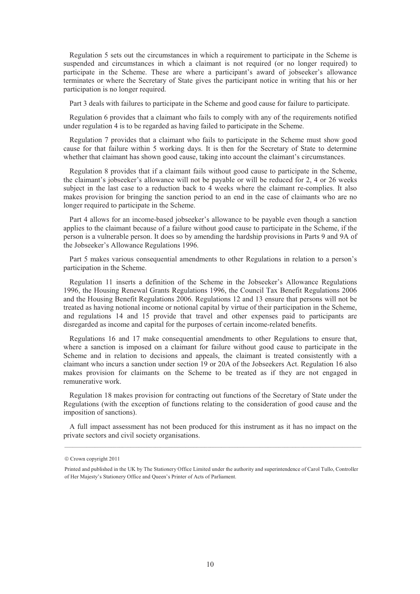Regulation 5 sets out the circumstances in which a requirement to participate in the Scheme is suspended and circumstances in which a claimant is not required (or no longer required) to participate in the Scheme. These are where a participant's award of jobseeker's allowance terminates or where the Secretary of State gives the participant notice in writing that his or her participation is no longer required.

Part 3 deals with failures to participate in the Scheme and good cause for failure to participate.

Regulation 6 provides that a claimant who fails to comply with any of the requirements notified under regulation 4 is to be regarded as having failed to participate in the Scheme.

Regulation 7 provides that a claimant who fails to participate in the Scheme must show good cause for that failure within 5 working days. It is then for the Secretary of State to determine whether that claimant has shown good cause, taking into account the claimant's circumstances.

Regulation 8 provides that if a claimant fails without good cause to participate in the Scheme, the claimant's jobseeker's allowance will not be payable or will be reduced for 2, 4 or 26 weeks subject in the last case to a reduction back to 4 weeks where the claimant re-complies. It also makes provision for bringing the sanction period to an end in the case of claimants who are no longer required to participate in the Scheme.

Part 4 allows for an income-based jobseeker's allowance to be payable even though a sanction applies to the claimant because of a failure without good cause to participate in the Scheme, if the person is a vulnerable person. It does so by amending the hardship provisions in Parts 9 and 9A of the Jobseeker's Allowance Regulations 1996.

Part 5 makes various consequential amendments to other Regulations in relation to a person's participation in the Scheme.

Regulation 11 inserts a definition of the Scheme in the Jobseeker's Allowance Regulations 1996, the Housing Renewal Grants Regulations 1996, the Council Tax Benefit Regulations 2006 and the Housing Benefit Regulations 2006. Regulations 12 and 13 ensure that persons will not be treated as having notional income or notional capital by virtue of their participation in the Scheme, and regulations 14 and 15 provide that travel and other expenses paid to participants are disregarded as income and capital for the purposes of certain income-related benefits.

Regulations 16 and 17 make consequential amendments to other Regulations to ensure that, where a sanction is imposed on a claimant for failure without good cause to participate in the Scheme and in relation to decisions and appeals, the claimant is treated consistently with a claimant who incurs a sanction under section 19 or 20A of the Jobseekers Act. Regulation 16 also makes provision for claimants on the Scheme to be treated as if they are not engaged in remunerative work.

Regulation 18 makes provision for contracting out functions of the Secretary of State under the Regulations (with the exception of functions relating to the consideration of good cause and the imposition of sanctions).

A full impact assessment has not been produced for this instrument as it has no impact on the private sectors and civil society organisations.

 $©$  Crown copyright 2011

Printed and published in the UK by The Stationery Office Limited under the authority and superintendence of Carol Tullo, Controller of Her Majesty's Stationery Office and Queen's Printer of Acts of Parliament.